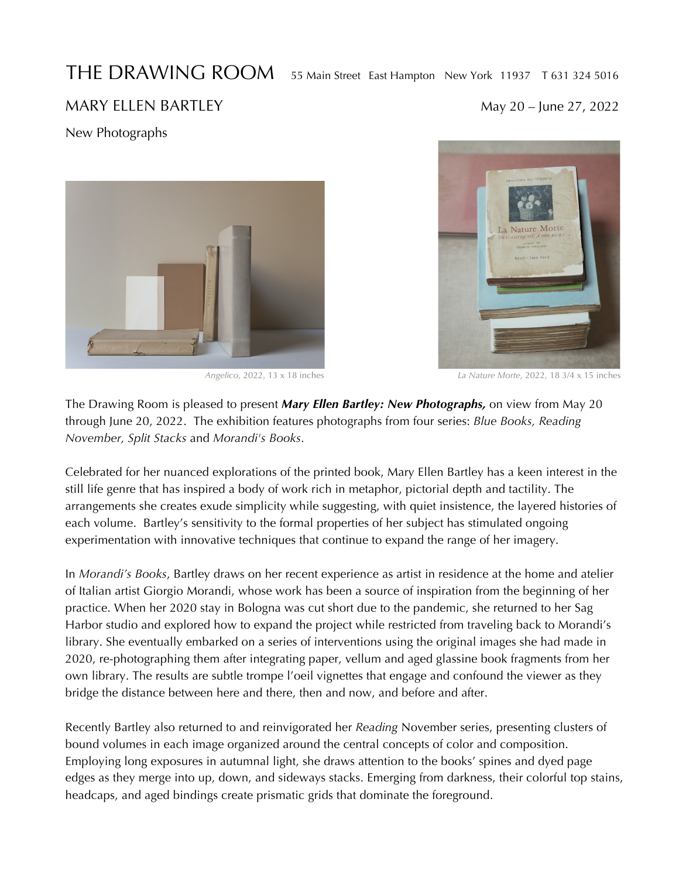## THE DRAWING ROOM 55 Main Street East Hampton New York 11937 T 631 324 5016

## MARY ELLEN BARTLEY MARY 20 – June 27, 2022

New Photographs





 *Angelico*, 2022, 13 x 18 inches *La Nature Morte*, 2022, 18 3/4 x 15 inches

The Drawing Room is pleased to present *Mary Ellen Bartley: New Photographs,* on view from May 20 through June 20, 2022. The exhibition features photographs from four series: *Blue Books, Reading November, Split Stacks* and *Morandi's Books*.

Celebrated for her nuanced explorations of the printed book, Mary Ellen Bartley has a keen interest in the still life genre that has inspired a body of work rich in metaphor, pictorial depth and tactility. The arrangements she creates exude simplicity while suggesting, with quiet insistence, the layered histories of each volume. Bartley's sensitivity to the formal properties of her subject has stimulated ongoing experimentation with innovative techniques that continue to expand the range of her imagery.

In *Morandi's Books*, Bartley draws on her recent experience as artist in residence at the home and atelier of Italian artist Giorgio Morandi, whose work has been a source of inspiration from the beginning of her practice. When her 2020 stay in Bologna was cut short due to the pandemic, she returned to her Sag Harbor studio and explored how to expand the project while restricted from traveling back to Morandi's library. She eventually embarked on a series of interventions using the original images she had made in 2020, re-photographing them after integrating paper, vellum and aged glassine book fragments from her own library. The results are subtle trompe l'oeil vignettes that engage and confound the viewer as they bridge the distance between here and there, then and now, and before and after.

Recently Bartley also returned to and reinvigorated her *Reading* November series, presenting clusters of bound volumes in each image organized around the central concepts of color and composition. Employing long exposures in autumnal light, she draws attention to the books' spines and dyed page edges as they merge into up, down, and sideways stacks. Emerging from darkness, their colorful top stains, headcaps, and aged bindings create prismatic grids that dominate the foreground.